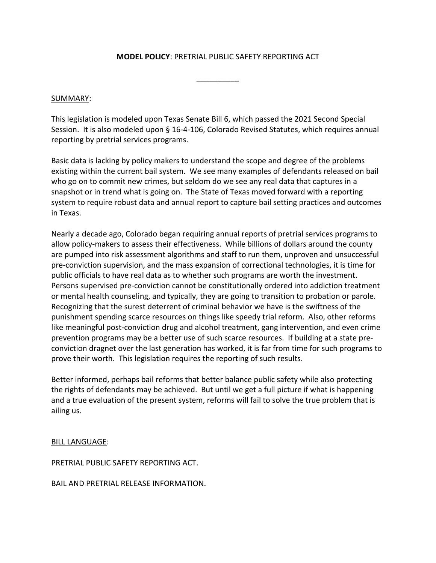## **MODEL POLICY**: PRETRIAL PUBLIC SAFETY REPORTING ACT

 $\overline{\phantom{a}}$ 

## SUMMARY:

This legislation is modeled upon Texas Senate Bill 6, which passed the 2021 Second Special Session. It is also modeled upon § 16-4-106, Colorado Revised Statutes, which requires annual reporting by pretrial services programs.

Basic data is lacking by policy makers to understand the scope and degree of the problems existing within the current bail system. We see many examples of defendants released on bail who go on to commit new crimes, but seldom do we see any real data that captures in a snapshot or in trend what is going on. The State of Texas moved forward with a reporting system to require robust data and annual report to capture bail setting practices and outcomes in Texas.

Nearly a decade ago, Colorado began requiring annual reports of pretrial services programs to allow policy-makers to assess their effectiveness. While billions of dollars around the county are pumped into risk assessment algorithms and staff to run them, unproven and unsuccessful pre-conviction supervision, and the mass expansion of correctional technologies, it is time for public officials to have real data as to whether such programs are worth the investment. Persons supervised pre-conviction cannot be constitutionally ordered into addiction treatment or mental health counseling, and typically, they are going to transition to probation or parole. Recognizing that the surest deterrent of criminal behavior we have is the swiftness of the punishment spending scarce resources on things like speedy trial reform. Also, other reforms like meaningful post-conviction drug and alcohol treatment, gang intervention, and even crime prevention programs may be a better use of such scarce resources. If building at a state preconviction dragnet over the last generation has worked, it is far from time for such programs to prove their worth. This legislation requires the reporting of such results.

Better informed, perhaps bail reforms that better balance public safety while also protecting the rights of defendants may be achieved. But until we get a full picture if what is happening and a true evaluation of the present system, reforms will fail to solve the true problem that is ailing us.

BILL LANGUAGE:

PRETRIAL PUBLIC SAFETY REPORTING ACT.

BAIL AND PRETRIAL RELEASE INFORMATION.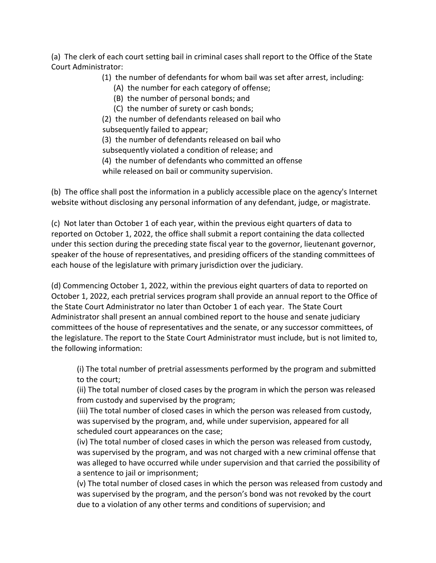(a) The clerk of each court setting bail in criminal cases shall report to the Office of the State Court Administrator:

(1) the number of defendants for whom bail was set after arrest, including:

- (A) the number for each category of offense;
- (B) the number of personal bonds; and
- (C) the number of surety or cash bonds;

 (2) the number of defendants released on bail who subsequently failed to appear;

(3) the number of defendants released on bail who

subsequently violated a condition of release; and

(4) the number of defendants who committed an offense

while released on bail or community supervision.

(b) The office shall post the information in a publicly accessible place on the agency's Internet website without disclosing any personal information of any defendant, judge, or magistrate.

(c) Not later than October 1 of each year, within the previous eight quarters of data to reported on October 1, 2022, the office shall submit a report containing the data collected under this section during the preceding state fiscal year to the governor, lieutenant governor, speaker of the house of representatives, and presiding officers of the standing committees of each house of the legislature with primary jurisdiction over the judiciary.

(d) Commencing October 1, 2022, within the previous eight quarters of data to reported on October 1, 2022, each pretrial services program shall provide an annual report to the Office of the State Court Administrator no later than October 1 of each year. The State Court Administrator shall present an annual combined report to the house and senate judiciary committees of the house of representatives and the senate, or any successor committees, of the legislature. The report to the State Court Administrator must include, but is not limited to, the following information:

(i) The total number of pretrial assessments performed by the program and submitted to the court;

(ii) The total number of closed cases by the program in which the person was released from custody and supervised by the program;

(iii) The total number of closed cases in which the person was released from custody, was supervised by the program, and, while under supervision, appeared for all scheduled court appearances on the case;

(iv) The total number of closed cases in which the person was released from custody, was supervised by the program, and was not charged with a new criminal offense that was alleged to have occurred while under supervision and that carried the possibility of a sentence to jail or imprisonment;

(v) The total number of closed cases in which the person was released from custody and was supervised by the program, and the person's bond was not revoked by the court due to a violation of any other terms and conditions of supervision; and